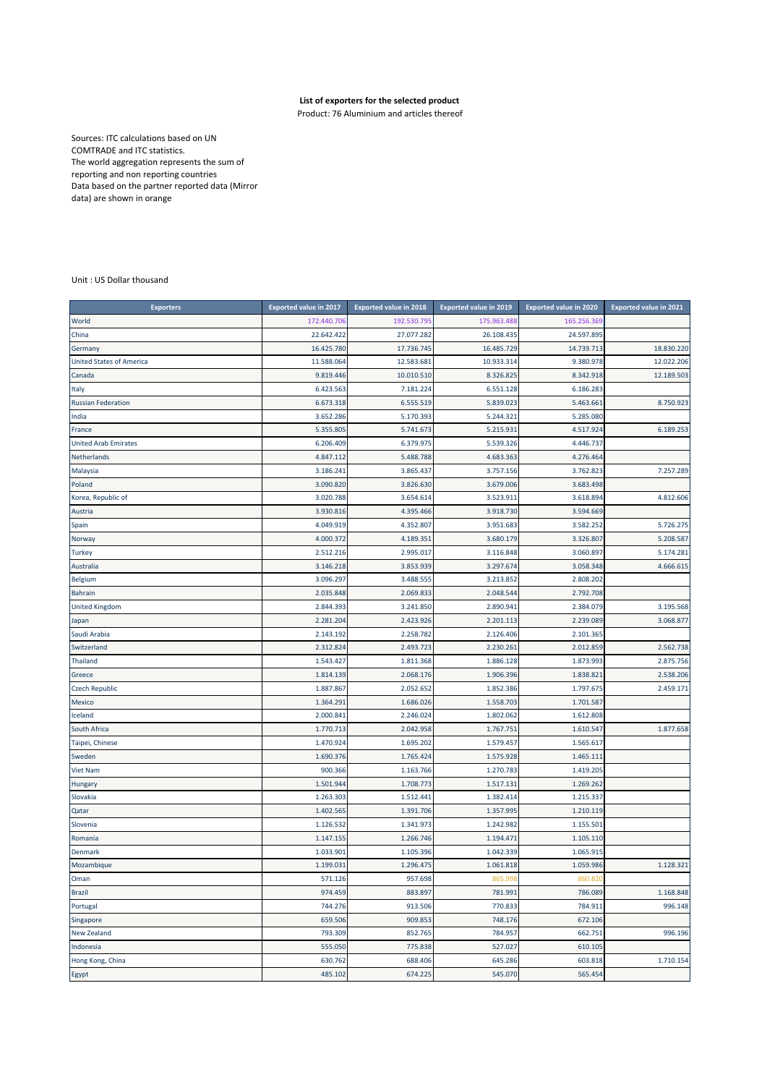## **List of exporters for the selected product**

Product: 76 Aluminium and articles thereof

Sources: ITC calculations based on UN COMTRADE and ITC statistics. The world aggregation represents the sum of reporting and non reporting countries Data based on the partner reported data (Mirror data) are shown in orange

Unit : US Dollar thousand

| <b>Exporters</b>                | <b>Exported value in 2017</b> | <b>Exported value in 2018</b> | <b>Exported value in 2019</b> | <b>Exported value in 2020</b> | <b>Exported value in 2021</b> |
|---------------------------------|-------------------------------|-------------------------------|-------------------------------|-------------------------------|-------------------------------|
| World                           | 172.440.706                   | 192.530.79                    | 175.963.488                   | 165.256.369                   |                               |
| China                           | 22.642.422                    | 27.077.282                    | 26.108.435                    | 24.597.895                    |                               |
| Germany                         | 16.425.780                    | 17.736.745                    | 16.485.729                    | 14.739.713                    | 18.830.220                    |
| <b>United States of America</b> | 11.588.064                    | 12.583.681                    | 10.933.314                    | 9.380.978                     | 12.022.206                    |
| Canada                          | 9.819.446                     | 10.010.510                    | 8.326.825                     | 8.342.918                     | 12.189.503                    |
| Italy                           | 6.423.563                     | 7.181.224                     | 6.551.128                     | 6.186.283                     |                               |
| <b>Russian Federation</b>       | 6.673.318                     | 6.555.519                     | 5.839.023                     | 5.463.661                     | 8.750.923                     |
| India                           | 3.652.286                     | 5.170.393                     | 5.244.321                     | 5.285.080                     |                               |
| France                          | 5.355.805                     | 5.741.673                     | 5.215.931                     | 4.517.924                     | 6.189.253                     |
| <b>United Arab Emirates</b>     | 6.206.409                     | 6.379.975                     | 5.539.326                     | 4.446.737                     |                               |
| Netherlands                     | 4.847.112                     | 5.488.788                     | 4.683.363                     | 4.276.464                     |                               |
| Malaysia                        | 3.186.241                     | 3.865.437                     | 3.757.156                     | 3.762.823                     | 7.257.289                     |
| Poland                          | 3.090.820                     | 3.826.630                     | 3.679.006                     | 3.683.498                     |                               |
| Korea, Republic of              | 3.020.788                     | 3.654.614                     | 3.523.911                     | 3.618.894                     | 4.812.606                     |
| Austria                         | 3.930.816                     | 4.395.466                     | 3.918.730                     | 3.594.669                     |                               |
| Spain                           | 4.049.919                     | 4.352.807                     | 3.951.683                     | 3.582.252                     | 5.726.275                     |
| Norway                          | 4.000.372                     | 4.189.351                     | 3.680.179                     | 3.326.807                     | 5.208.587                     |
| <b>Turkey</b>                   | 2.512.216                     | 2.995.017                     | 3.116.848                     | 3.060.897                     | 5.174.281                     |
| Australia                       | 3.146.218                     | 3.853.939                     | 3.297.674                     | 3.058.348                     | 4.666.615                     |
| Belgium                         | 3.096.297                     | 3.488.555                     | 3.213.852                     | 2.808.202                     |                               |
| <b>Bahrain</b>                  | 2.035.848                     | 2.069.833                     | 2.048.544                     | 2.792.708                     |                               |
| <b>United Kingdom</b>           | 2.844.393                     | 3.241.850                     | 2.890.941                     | 2.384.079                     | 3.195.568                     |
| Japan                           | 2.281.204                     | 2.423.926                     | 2.201.113                     | 2.239.089                     | 3.068.877                     |
| Saudi Arabia                    | 2.143.192                     | 2.258.782                     | 2.126.406                     | 2.101.365                     |                               |
| Switzerland                     | 2.312.824                     | 2.493.723                     | 2.230.261                     | 2.012.859                     | 2.562.738                     |
| <b>Thailand</b>                 | 1.543.427                     | 1.811.368                     | 1.886.128                     | 1.873.993                     | 2.875.756                     |
| Greece                          | 1.814.139                     | 2.068.176                     | 1.906.396                     | 1.838.821                     | 2.538.206                     |
| <b>Czech Republic</b>           | 1.887.867                     | 2.052.652                     | 1.852.386                     | 1.797.675                     | 2.459.171                     |
| Mexico                          | 1.364.291                     | 1.686.026                     | 1.558.703                     | 1.701.587                     |                               |
| Iceland                         | 2.000.841                     | 2.246.024                     | 1.802.062                     | 1.612.808                     |                               |
| South Africa                    | 1.770.713                     | 2.042.958                     | 1.767.751                     | 1.610.547                     | 1.877.658                     |
| Taipei, Chinese                 | 1.470.924                     | 1.695.202                     | 1.579.457                     | 1.565.617                     |                               |
| Sweden                          | 1.690.376                     | 1.765.424                     | 1.575.928                     | 1.465.111                     |                               |
| Viet Nam                        | 900.366                       | 1.163.766                     | 1.270.783                     | 1.419.205                     |                               |
| Hungary                         | 1.501.944                     | 1.708.773                     | 1.517.131                     | 1.269.262                     |                               |
| Slovakia                        | 1.263.303                     | 1.512.441                     | 1.382.414                     | 1.215.337                     |                               |
| Qatar                           | 1.402.565                     | 1.391.706                     | 1.357.995                     | 1.210.119                     |                               |
| Slovenia                        | 1.126.532                     | 1.341.973                     | 1.242.982                     | 1.155.501                     |                               |
| Romania                         | 1.147.155                     | 1.266.746                     | 1.194.471                     | 1.105.110                     |                               |
| Denmark                         | 1.033.901                     | 1.105.396                     | 1.042.339                     | 1.065.915                     |                               |
| Mozambique                      | 1.199.031                     | 1.296.475                     | 1.061.818                     | 1.059.986                     | 1.128.321                     |
| Oman                            | 571.126                       | 957.698                       | 865.99                        | 860.820                       |                               |
| <b>Brazil</b>                   | 974.459                       | 883.897                       | 781.991                       | 786.089                       | 1.168.848                     |
| Portugal                        | 744.276                       | 913.506                       | 770.833                       | 784.911                       | 996.148                       |
| Singapore                       | 659.506                       | 909.853                       | 748.176                       | 672.106                       |                               |
| New Zealand                     | 793.309                       | 852.765                       | 784.957                       | 662.751                       | 996.196                       |
| Indonesia                       | 555.050                       | 775.838                       | 527.027                       | 610.105                       |                               |
| Hong Kong, China                | 630.762                       | 688.406                       | 645.286                       | 603.818                       | 1.710.154                     |
| Egypt                           | 485.102                       | 674.225                       | 545.070                       | 565.454                       |                               |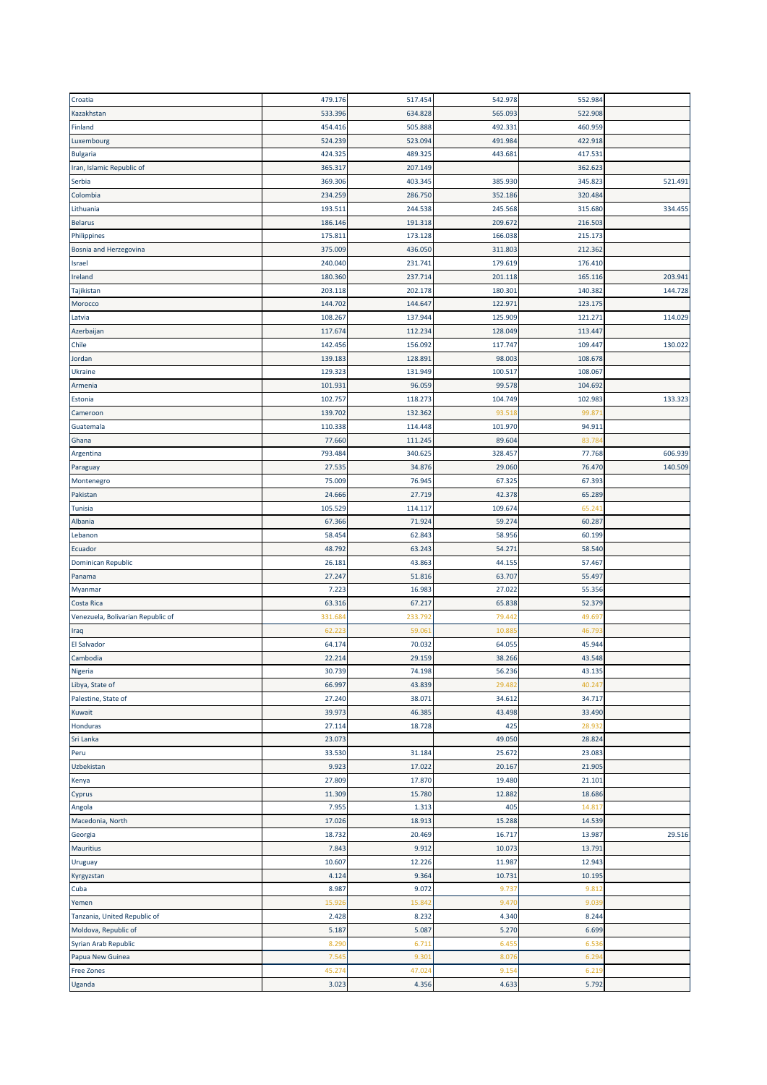| Croatia                           | 479.176 | 517.454 | 542.978 | 552.984 |         |
|-----------------------------------|---------|---------|---------|---------|---------|
| Kazakhstan                        | 533.396 | 634.828 | 565.093 | 522.908 |         |
| Finland                           | 454.416 | 505.888 | 492.331 | 460.959 |         |
| Luxembourg                        | 524.239 | 523.094 | 491.984 | 422.918 |         |
| <b>Bulgaria</b>                   | 424.325 | 489.325 | 443.681 | 417.531 |         |
| Iran, Islamic Republic of         | 365.317 | 207.149 |         | 362.623 |         |
| Serbia                            | 369.306 | 403.345 | 385.930 | 345.823 | 521.491 |
| Colombia                          | 234.259 | 286.750 | 352.186 | 320.484 |         |
| Lithuania                         | 193.511 | 244.538 | 245.568 | 315.680 | 334.455 |
| <b>Belarus</b>                    | 186.146 | 191.318 | 209.672 | 216.503 |         |
| Philippines                       | 175.811 | 173.128 | 166.038 | 215.173 |         |
| Bosnia and Herzegovina            | 375.009 | 436.050 | 311.803 | 212.362 |         |
| Israel                            | 240.040 | 231.741 | 179.619 | 176.410 |         |
| Ireland                           | 180.360 | 237.714 | 201.118 | 165.116 | 203.941 |
| Tajikistan                        | 203.118 | 202.178 | 180.301 | 140.382 | 144.728 |
| Morocco                           | 144.702 | 144.647 | 122.971 | 123.175 |         |
| Latvia                            | 108.267 | 137.944 | 125.909 | 121.271 | 114.029 |
| Azerbaijan                        | 117.674 | 112.234 | 128.049 | 113.447 |         |
| Chile                             | 142.456 | 156.09  | 117.747 | 109.447 | 130.022 |
| Jordan                            | 139.183 | 128.89  | 98.003  | 108.678 |         |
|                                   |         |         |         |         |         |
| <b>Ukraine</b>                    | 129.323 | 131.949 | 100.517 | 108.067 |         |
| Armenia                           | 101.931 | 96.059  | 99.578  | 104.692 |         |
| Estonia                           | 102.757 | 118.273 | 104.749 | 102.983 | 133.323 |
| Cameroon                          | 139.702 | 132.362 | 93.518  | 99.87   |         |
| Guatemala                         | 110.338 | 114.448 | 101.970 | 94.911  |         |
| Ghana                             | 77.660  | 111.245 | 89.604  | 83.78   |         |
| Argentina                         | 793.484 | 340.625 | 328.457 | 77.768  | 606.939 |
| Paraguay                          | 27.535  | 34.876  | 29.060  | 76.470  | 140.509 |
| Montenegro                        | 75.009  | 76.945  | 67.325  | 67.393  |         |
| Pakistan                          | 24.666  | 27.719  | 42.378  | 65.289  |         |
| Tunisia                           | 105.529 | 114.117 | 109.674 | 65.24   |         |
| Albania                           | 67.366  | 71.924  | 59.274  | 60.287  |         |
| Lebanon                           | 58.454  | 62.843  | 58.956  | 60.199  |         |
| Ecuador                           | 48.792  | 63.243  | 54.271  | 58.540  |         |
| Dominican Republic                | 26.181  | 43.863  | 44.155  | 57.467  |         |
| Panama                            | 27.247  | 51.816  | 63.707  | 55.497  |         |
| Myanmar                           | 7.223   | 16.983  | 27.022  | 55.356  |         |
| Costa Rica                        | 63.316  | 67.217  | 65.838  | 52.379  |         |
| Venezuela, Bolivarian Republic of | 331.68  | 233.79  | 79.442  | 49.69   |         |
| Iraq                              | 62.22   | 59.06   | 10.88   | 46.79   |         |
| El Salvador                       | 64.174  | 70.032  | 64.055  | 45.944  |         |
| Cambodia                          | 22.214  | 29.159  | 38.266  | 43.548  |         |
| Nigeria                           | 30.739  | 74.198  | 56.236  | 43.135  |         |
| Libya, State of                   | 66.997  | 43.839  | 29.482  | 40.247  |         |
| Palestine, State of               | 27.240  | 38.071  | 34.612  | 34.717  |         |
| Kuwait                            | 39.973  | 46.385  | 43.498  | 33.490  |         |
| Honduras                          | 27.114  | 18.728  | 425     | 28.932  |         |
| Sri Lanka                         | 23.073  |         | 49.050  | 28.824  |         |
| Peru                              | 33.530  | 31.184  | 25.672  | 23.083  |         |
| Uzbekistan                        | 9.923   | 17.022  | 20.167  | 21.905  |         |
| Kenya                             | 27.809  | 17.870  | 19.480  | 21.101  |         |
| Cyprus                            | 11.309  | 15.780  | 12.882  | 18.686  |         |
| Angola                            | 7.955   | 1.313   | 405     | 14.81   |         |
| Macedonia, North                  | 17.026  | 18.913  | 15.288  | 14.539  |         |
| Georgia                           | 18.732  | 20.469  | 16.717  | 13.987  | 29.516  |
| Mauritius                         | 7.843   | 9.912   | 10.073  | 13.791  |         |
|                                   |         |         |         |         |         |
| Uruguay                           | 10.607  | 12.226  | 11.987  | 12.943  |         |
| Kyrgyzstan                        | 4.124   | 9.364   | 10.731  | 10.195  |         |
| Cuba                              | 8.987   | 9.072   | 9.737   | 9.812   |         |
| Yemen                             | 15.926  | 15.842  | 9.470   | 9.039   |         |
| Tanzania, United Republic of      | 2.428   | 8.232   | 4.340   | 8.244   |         |
| Moldova, Republic of              | 5.187   | 5.087   | 5.270   | 6.699   |         |
| Syrian Arab Republic              | 8.290   | 6.711   | 6.455   | 6.536   |         |
| Papua New Guinea                  | 7.54    | 9.30    | 8.076   | 6.294   |         |
| <b>Free Zones</b>                 | 45.274  | 47.024  | 9.154   | 6.219   |         |
| Uganda                            | 3.023   | 4.356   | 4.633   | 5.792   |         |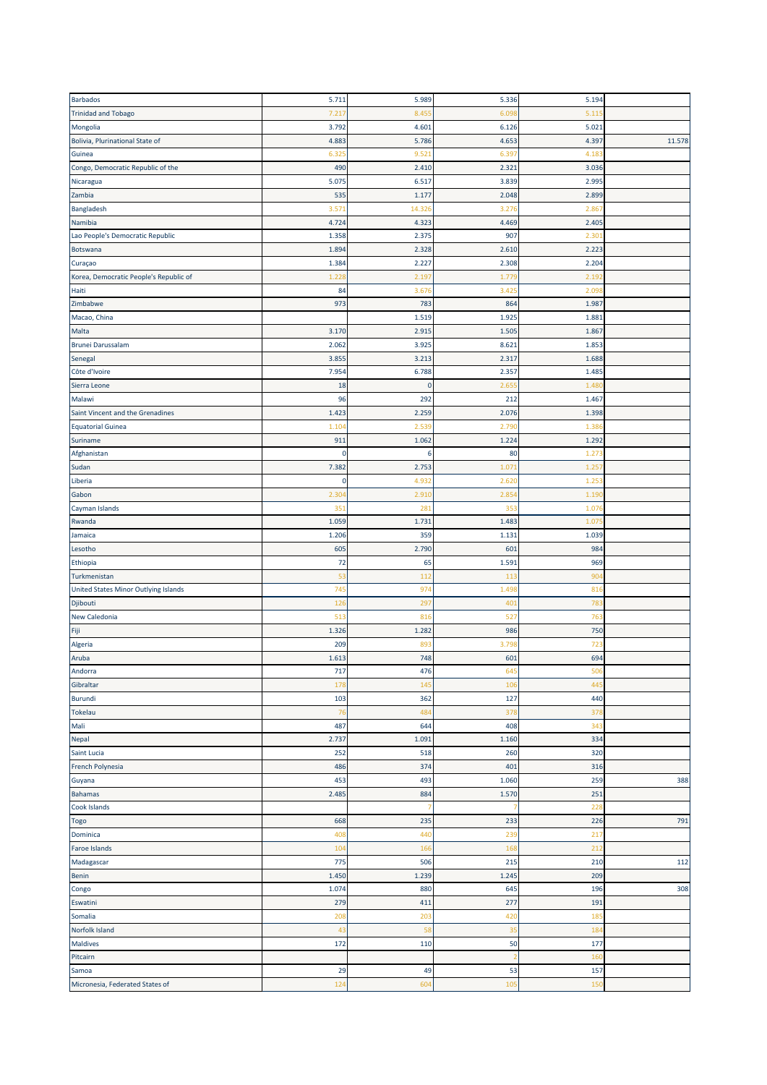| <b>Barbados</b>                        | 5.711       | 5.989        | 5.336      | 5.194      |        |
|----------------------------------------|-------------|--------------|------------|------------|--------|
| <b>Trinidad and Tobago</b>             | 7.21        | 8.45         | 6.09       | 5.11       |        |
| Mongolia                               | 3.792       | 4.601        | 6.126      | 5.021      |        |
| Bolivia, Plurinational State of        | 4.883       | 5.786        | 4.653      | 4.397      | 11.578 |
| Guinea                                 | 6.32        | 9.521        | 6.397      | 4.183      |        |
| Congo, Democratic Republic of the      | 490         | 2.410        | 2.321      | 3.036      |        |
|                                        |             |              |            |            |        |
| Nicaragua                              | 5.075       | 6.517        | 3.839      | 2.995      |        |
| Zambia                                 | 535         | 1.177        | 2.048      | 2.899      |        |
| Bangladesh                             | 3.57        | 14.32        | 3.276      | 2.86       |        |
| Namibia                                | 4.724       | 4.323        | 4.469      | 2.405      |        |
| Lao People's Democratic Republic       | 1.358       | 2.375        | 907        | 2.30       |        |
| Botswana                               | 1.894       | 2.328        | 2.610      | 2.223      |        |
| Curaçao                                | 1.384       | 2.227        | 2.308      | 2.204      |        |
| Korea, Democratic People's Republic of | 1.22        | 2.19         | 1.77       | 2.19       |        |
| Haiti                                  | 84          | 3.67         | 3.425      | 2.09       |        |
| Zimbabwe                               | 973         | 783          | 864        | 1.987      |        |
| Macao, China                           |             | 1.519        | 1.925      | 1.881      |        |
| Malta                                  | 3.170       | 2.915        | 1.505      | 1.867      |        |
| <b>Brunei Darussalam</b>               | 2.062       | 3.925        | 8.621      | 1.853      |        |
| Senegal                                | 3.855       | 3.213        | 2.317      | 1.688      |        |
| Côte d'Ivoire                          | 7.954       | 6.788        | 2.357      | 1.485      |        |
| Sierra Leone                           | 18          | $\mathbf{0}$ | 2.65       | 1.48       |        |
| Malawi                                 | 96          | 292          | 212        | 1.467      |        |
|                                        |             |              |            |            |        |
| Saint Vincent and the Grenadines       | 1.423       | 2.259        | 2.076      | 1.398      |        |
| <b>Equatorial Guinea</b>               | 1.10        | 2.53         | 2.790      | 1.38       |        |
| Suriname                               | 911         | 1.062        | 1.224      | 1.292      |        |
| Afghanistan                            | $\mathbf 0$ | 6            | 80         | 1.27       |        |
| Sudan                                  | 7.382       | 2.753        | 1.07       | 1.25       |        |
| Liberia                                | 0           | 4.93         | 2.620      | 1.253      |        |
| Gabon                                  | 2.30        | 2.91         | 2.854      | 1.19       |        |
| Cayman Islands                         | 351         | 281          | 353        | 1.07       |        |
| Rwanda                                 | 1.059       | 1.731        | 1.483      | 1.07       |        |
| Jamaica                                | 1.206       | 359          | 1.131      | 1.039      |        |
|                                        |             |              |            |            |        |
| Lesotho                                | 605         | 2.790        | 601        | 984        |        |
| Ethiopia                               | 72          | 65           | 1.591      | 969        |        |
|                                        | 53          | 11           | 113        | 904        |        |
| Turkmenistan                           |             |              |            |            |        |
| United States Minor Outlying Islands   | 745         | 97           | 1.498      | 81         |        |
| Djibouti                               | 126         | 29           | 40         | 783        |        |
| New Caledonia                          | 513         | 816          | 527        | 763        |        |
| Fiji                                   | 1.326       | 1.282        | 986        | 750        |        |
| Algeria                                | 209         | 89           | 3.798      | 723        |        |
| Aruba                                  | 1.613       | 748          | 601        | 694        |        |
| Andorra                                | 717         | 476          | <b>b45</b> | <b>POC</b> |        |
| Gibraltar                              | 178         | 145          | 106        | 445        |        |
| <b>Burundi</b>                         | 103         | 362          | 127        | 440        |        |
| Tokelau                                | 76          | 484          | 378        | 378        |        |
| Mali                                   | 487         | 644          | 408        | 343        |        |
| Nepal                                  | 2.737       | 1.091        | 1.160      | 334        |        |
| Saint Lucia                            | 252         | 518          | 260        | 320        |        |
| French Polynesia                       | 486         | 374          | 401        | 316        |        |
| Guyana                                 | 453         | 493          | 1.060      | 259        | 388    |
| <b>Bahamas</b>                         | 2.485       | 884          | 1.570      | 251        |        |
| Cook Islands                           |             |              |            | 228        |        |
|                                        |             |              |            |            |        |
| <b>Togo</b>                            | 668         | 235          | 233        | 226        | 791    |
| Dominica                               | 408         | 440          | 239        | 217        |        |
| <b>Faroe Islands</b>                   | 104         | 166          | 168        | 212        |        |
| Madagascar                             | 775         | 506          | 215        | 210        | 112    |
| Benin                                  | 1.450       | 1.239        | 1.245      | 209        |        |
| Congo                                  | 1.074       | 880          | 645        | 196        | 308    |
| Eswatini                               | 279         | 411          | 277        | 191        |        |
| Somalia                                | 208         | 203          | 420        | 185        |        |
| Norfolk Island                         | 43          | 58           | 35         | 184        |        |
| <b>Maldives</b>                        | 172         | 110          | 50         | 177        |        |
| Pitcairn                               |             |              | -2         | 160        |        |
| Samoa                                  | 29          | 49           | 53         | 157        |        |